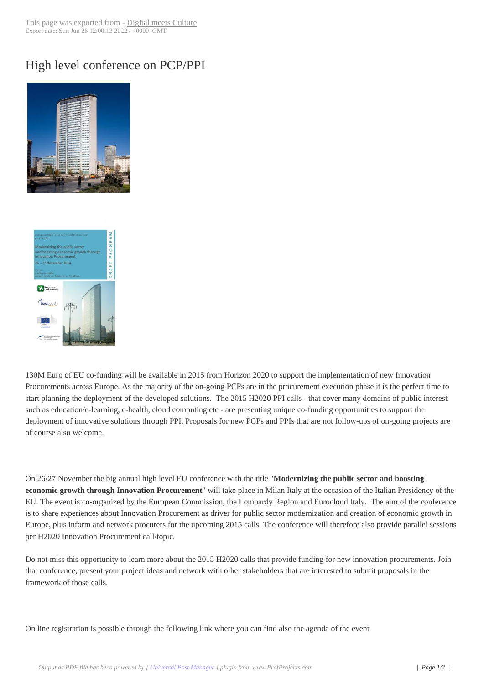## High level confere[nce on PCP/PP](http://www.digitalmeetsculture.net/?p=29179)I





[130M Euro of EU co-funding](http://www.digitalmeetsculture.net/wp-content/uploads/2014/10/event_pcp_milan_7790_48.jpg) will be available in 2015 from Horizon 2020 to support the implementation of new Innovation Procurements across Europe. As the majority of the on-going PCPs are in the procurement execution phase it is the perfect time to start planning the deployment of the developed solutions. The 2015 H2020 PPI calls - that cover many domains of public interest such as education/e-learning, e-health, cloud computing etc - are presenting unique co-funding opportunities to support the deployment of innovative solutions through PPI. Proposals for new PCPs and PPIs that are not follow-ups of on-going projects are of course also welcome.

On 26/27 November the big annual high level EU conference with the title "**Modernizing the public sector and boosting economic growth through Innovation Procurement**" will take place in Milan Italy at the occasion of the Italian Presidency of the EU. The event is co-organized by the European Commission, the Lombardy Region and Eurocloud Italy. The aim of the conference is to share experiences about Innovation Procurement as driver for public sector modernization and creation of economic growth in Europe, plus inform and network procurers for the upcoming 2015 calls. The conference will therefore also provide parallel sessions per H2020 Innovation Procurement call/topic.

Do not miss this opportunity to learn more about the 2015 H2020 calls that provide funding for new innovation procurements. Join that conference, present your project ideas and network with other stakeholders that are interested to submit proposals in the framework of those calls.

On line registration is possible through the following link where you can find also the agenda of the event